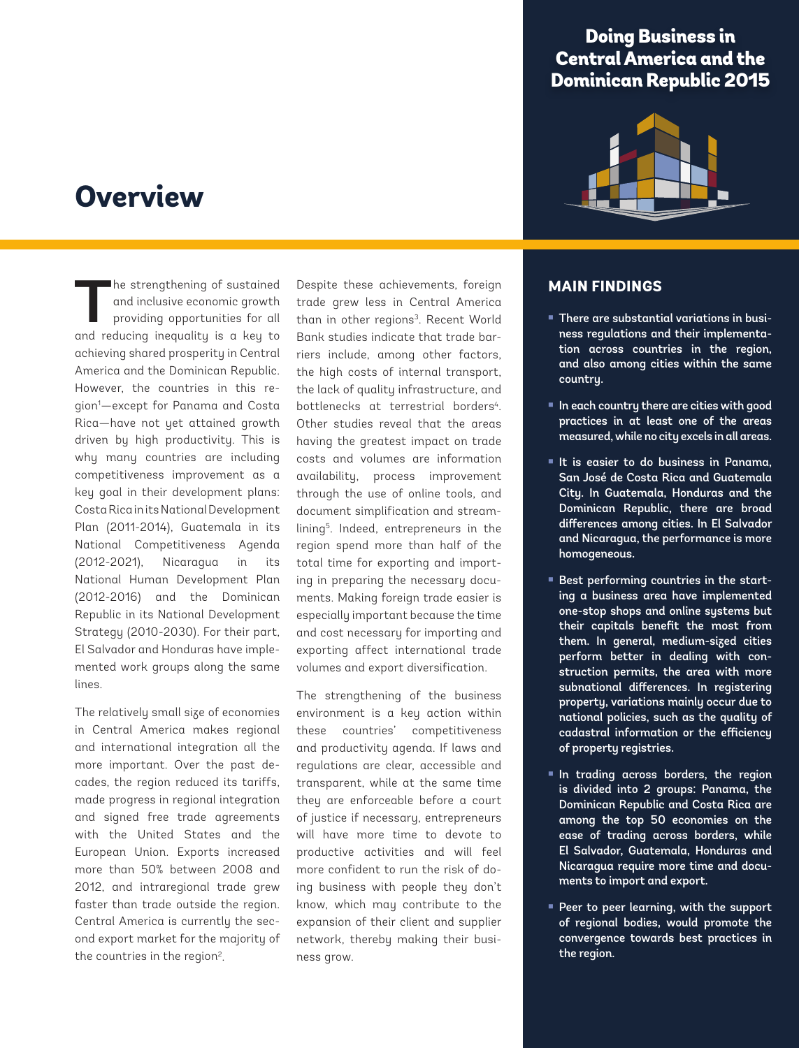# **Overview**

**T**he strengthening of sustained and inclusive economic growth providing opportunities for all and reducing inequality is a key to achieving shared prosperity in Central America and the Dominican Republic. However, the countries in this region1 —except for Panama and Costa Rica—have not yet attained growth driven by high productivity. This is why many countries are including competitiveness improvement as a key goal in their development plans: Costa Rica in its National Development Plan (2011-2014), Guatemala in its National Competitiveness Agenda (2012-2021), Nicaragua in its National Human Development Plan (2012-2016) and the Dominican Republic in its National Development Strategy (2010-2030). For their part, El Salvador and Honduras have implemented work groups along the same lines.

The relatively small size of economies in Central America makes regional and international integration all the more important. Over the past decades, the region reduced its tariffs, made progress in regional integration and signed free trade agreements with the United States and the European Union. Exports increased more than 50% between 2008 and 2012, and intraregional trade grew faster than trade outside the region. Central America is currently the second export market for the majority of the countries in the region<sup>2</sup>.

Despite these achievements, foreign trade grew less in Central America than in other regions<sup>3</sup>. Recent World Bank studies indicate that trade barriers include, among other factors, the high costs of internal transport, the lack of quality infrastructure, and bottlenecks at terrestrial borders<sup>4</sup>. Other studies reveal that the areas having the greatest impact on trade costs and volumes are information availability, process improvement through the use of online tools, and document simplification and streamlining5. Indeed, entrepreneurs in the region spend more than half of the total time for exporting and importing in preparing the necessary documents. Making foreign trade easier is especially important because the time and cost necessary for importing and exporting affect international trade volumes and export diversification.

The strengthening of the business environment is a key action within these countries' competitiveness and productivity agenda. If laws and regulations are clear, accessible and transparent, while at the same time they are enforceable before a court of justice if necessary, entrepreneurs will have more time to devote to productive activities and will feel more confident to run the risk of doing business with people they don't know, which may contribute to the expansion of their client and supplier network, thereby making their business grow.

# Doing Business in Central America and the Dominican Republic 2015



# **MAIN FINDINGS**

- There are substantial variations in business regulations and their implementation across countries in the region, and also among cities within the same country.
- $\blacksquare$  In each country there are cities with good practices in at least one of the areas measured, while no city excels in all areas.
- It is easier to do business in Panama, San José de Costa Rica and Guatemala City. In Guatemala, Honduras and the Dominican Republic, there are broad differences among cities. In El Salvador and Nicaragua, the performance is more homogeneous.
- Best performing countries in the starting a business area have implemented one-stop shops and online systems but their capitals benefit the most from them. In general, medium-sized cities perform better in dealing with construction permits, the area with more subnational differences. In registering property, variations mainly occur due to national policies, such as the quality of cadastral information or the efficiency of property registries.
- $\blacksquare$  In trading across borders, the region is divided into 2 groups: Panama, the Dominican Republic and Costa Rica are among the top 50 economies on the ease of trading across borders, while El Salvador, Guatemala, Honduras and Nicaragua require more time and documents to import and export.
- **Peer to peer learning, with the support** of regional bodies, would promote the convergence towards best practices in the region.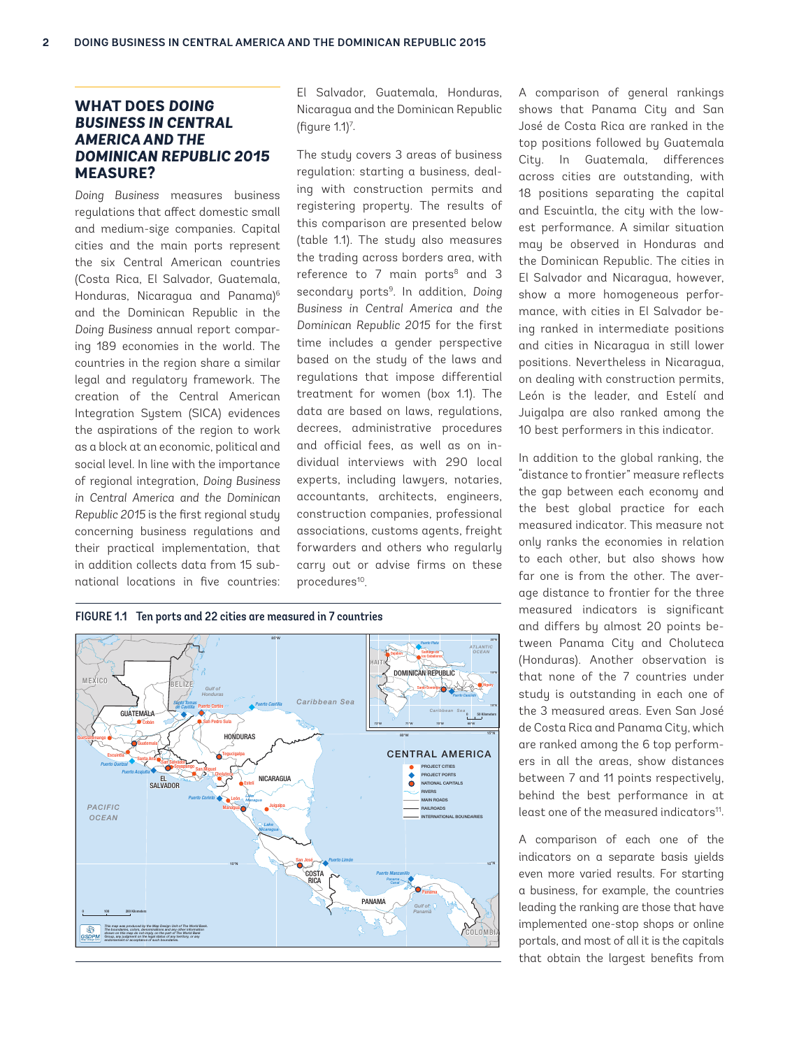# **WHAT DOES** *DOING BUSINESS IN CENTRAL AMERICA AND THE DOMINICAN REPUBLIC 2015*  **MEASURE?**

*Doing Business* measures business regulations that affect domestic small and medium-size companies. Capital cities and the main ports represent the six Central American countries (Costa Rica, El Salvador, Guatemala, Honduras, Nicaraqua and Panama)<sup>6</sup> and the Dominican Republic in the *Doing Business* annual report comparing 189 economies in the world. The countries in the region share a similar legal and regulatory framework. The creation of the Central American Integration System (SICA) evidences the aspirations of the region to work as a block at an economic, political and social level. In line with the importance of regional integration, *Doing Business in Central America and the Dominican Republic 2015* is the first regional study concerning business regulations and their practical implementation, that in addition collects data from 15 subnational locations in five countries:

El Salvador, Guatemala, Honduras, Nicaragua and the Dominican Republic (figure 1.1)7 .

The study covers 3 areas of business regulation: starting a business, dealing with construction permits and registering property. The results of this comparison are presented below (table 1.1). The study also measures the trading across borders area, with reference to  $7$  main ports $8$  and  $3$ secondary ports<sup>9</sup>. In addition, *Doing Business in Central America and the Dominican Republic 2015* for the first time includes a gender perspective based on the study of the laws and regulations that impose differential treatment for women (box 1.1). The data are based on laws, regulations, decrees, administrative procedures and official fees, as well as on individual interviews with 290 local experts, including lawyers, notaries, accountants, architects, engineers, construction companies, professional associations, customs agents, freight forwarders and others who regularly carry out or advise firms on these procedures<sup>10</sup>.





A comparison of general rankings shows that Panama City and San José de Costa Rica are ranked in the top positions followed by Guatemala City. In Guatemala, differences across cities are outstanding, with 18 positions separating the capital and Escuintla, the city with the lowest performance. A similar situation may be observed in Honduras and the Dominican Republic. The cities in El Salvador and Nicaragua, however, show a more homogeneous performance, with cities in El Salvador being ranked in intermediate positions and cities in Nicaragua in still lower positions. Nevertheless in Nicaragua, on dealing with construction permits, León is the leader, and Estelí and Juigalpa are also ranked among the 10 best performers in this indicator.

In addition to the global ranking, the "distance to frontier" measure reflects the gap between each economy and the best global practice for each measured indicator. This measure not only ranks the economies in relation to each other, but also shows how far one is from the other. The average distance to frontier for the three measured indicators is significant and differs by almost 20 points between Panama City and Choluteca (Honduras). Another observation is that none of the 7 countries under study is outstanding in each one of the 3 measured areas. Even San José de Costa Rica and Panama City, which are ranked among the 6 top performers in all the areas, show distances between 7 and 11 points respectively, behind the best performance in at least one of the measured indicators<sup>11</sup>

A comparison of each one of the indicators on a separate basis yields even more varied results. For starting a business, for example, the countries leading the ranking are those that have implemented one-stop shops or online portals, and most of all it is the capitals that obtain the largest benefits from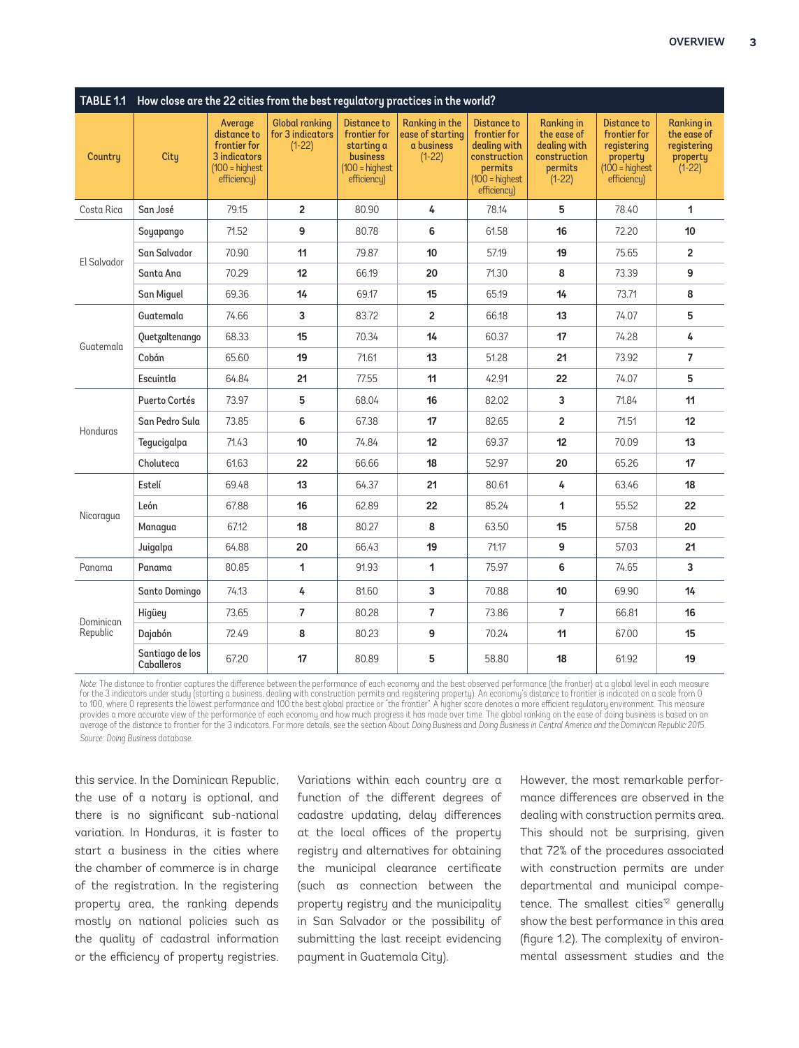|                       | TABLE 1.1 How close are the 22 cities from the best regulatory practices in the world? |                                                                                                   |                                                       |                                                                                                 |                                                              |                                                                                                                   |                                                                                         |                                                                                                   |                                                                         |
|-----------------------|----------------------------------------------------------------------------------------|---------------------------------------------------------------------------------------------------|-------------------------------------------------------|-------------------------------------------------------------------------------------------------|--------------------------------------------------------------|-------------------------------------------------------------------------------------------------------------------|-----------------------------------------------------------------------------------------|---------------------------------------------------------------------------------------------------|-------------------------------------------------------------------------|
| Country               | City                                                                                   | Average<br>distance to<br>frontier for<br>3 indicators<br>$(100 = \text{highest})$<br>efficiency) | <b>Global ranking</b><br>for 3 indicators<br>$(1-22)$ | <b>Distance to</b><br>frontier for<br>starting a<br>business<br>$(100 =$ highest<br>efficiency) | Ranking in the<br>ease of starting<br>a business<br>$(1-22)$ | <b>Distance to</b><br>frontier for<br>dealing with<br>construction<br>permits<br>$(100)$ = highest<br>efficiency) | <b>Ranking in</b><br>the ease of<br>dealing with<br>construction<br>permits<br>$(1-22)$ | Distance to<br>frontier for<br>registering<br>property<br>$(100 = \text{highest})$<br>efficiency) | <b>Ranking in</b><br>the ease of<br>registering<br>property<br>$(1-22)$ |
| Costa Rica            | San José                                                                               | 79.15                                                                                             | $\overline{2}$                                        | 80.90                                                                                           | 4                                                            | 78.14                                                                                                             | 5                                                                                       | 78.40                                                                                             | 1                                                                       |
| El Salvador           | Soyapango                                                                              | 71.52                                                                                             | 9                                                     | 80.78                                                                                           | 6                                                            | 61.58                                                                                                             | 16                                                                                      | 72.20                                                                                             | 10                                                                      |
|                       | San Salvador                                                                           | 70.90                                                                                             | 11                                                    | 79.87                                                                                           | 10                                                           | 57.19                                                                                                             | 19                                                                                      | 75.65                                                                                             | $\overline{2}$                                                          |
|                       | Santa Ana                                                                              | 70.29                                                                                             | 12                                                    | 66.19                                                                                           | 20                                                           | 71.30                                                                                                             | 8                                                                                       | 73.39                                                                                             | 9                                                                       |
|                       | San Miquel                                                                             | 69.36                                                                                             | 14                                                    | 69.17                                                                                           | 15                                                           | 65.19                                                                                                             | 14                                                                                      | 73.71                                                                                             | 8                                                                       |
| Guatemala             | Guatemala                                                                              | 74.66                                                                                             | 3                                                     | 83.72                                                                                           | $\overline{2}$                                               | 66.18                                                                                                             | 13                                                                                      | 74.07                                                                                             | 5                                                                       |
|                       | Quetzaltenango                                                                         | 68.33                                                                                             | 15                                                    | 70.34                                                                                           | 14                                                           | 60.37                                                                                                             | 17                                                                                      | 74.28                                                                                             | 4                                                                       |
|                       | Cobán                                                                                  | 65.60                                                                                             | 19                                                    | 71.61                                                                                           | 13                                                           | 51.28                                                                                                             | 21                                                                                      | 73.92                                                                                             | $\overline{7}$                                                          |
|                       | Escuintla                                                                              | 64.84                                                                                             | 21                                                    | 77.55                                                                                           | 11                                                           | 42.91                                                                                                             | 22                                                                                      | 74.07                                                                                             | 5                                                                       |
| Honduras              | Puerto Cortés                                                                          | 73.97                                                                                             | 5                                                     | 68.04                                                                                           | 16                                                           | 82.02                                                                                                             | 3                                                                                       | 71.84                                                                                             | 11                                                                      |
|                       | San Pedro Sula                                                                         | 73.85                                                                                             | 6                                                     | 67.38                                                                                           | 17                                                           | 82.65                                                                                                             | $\overline{2}$                                                                          | 71.51                                                                                             | 12                                                                      |
|                       | Tequcigalpa                                                                            | 71.43                                                                                             | 10                                                    | 74.84                                                                                           | 12                                                           | 69.37                                                                                                             | 12                                                                                      | 70.09                                                                                             | 13                                                                      |
|                       | Choluteca                                                                              | 61.63                                                                                             | 22                                                    | 66.66                                                                                           | 18                                                           | 52.97                                                                                                             | 20                                                                                      | 65.26                                                                                             | 17                                                                      |
| Nicaragua             | Estelí                                                                                 | 69.48                                                                                             | 13                                                    | 64.37                                                                                           | 21                                                           | 80.61                                                                                                             | 4                                                                                       | 63.46                                                                                             | 18                                                                      |
|                       | León                                                                                   | 67.88                                                                                             | 16                                                    | 62.89                                                                                           | 22                                                           | 85.24                                                                                                             | 1                                                                                       | 55.52                                                                                             | 22                                                                      |
|                       | Managua                                                                                | 67.12                                                                                             | 18                                                    | 80.27                                                                                           | 8                                                            | 63.50                                                                                                             | 15                                                                                      | 57.58                                                                                             | 20                                                                      |
|                       | Juigalpa                                                                               | 64.88                                                                                             | 20                                                    | 66.43                                                                                           | 19                                                           | 71.17                                                                                                             | 9                                                                                       | 57.03                                                                                             | 21                                                                      |
| Panama                | Panama                                                                                 | 80.85                                                                                             | 1                                                     | 91.93                                                                                           | 1                                                            | 75.97                                                                                                             | 6                                                                                       | 74.65                                                                                             | 3                                                                       |
| Dominican<br>Republic | Santo Domingo                                                                          | 74.13                                                                                             | 4                                                     | 81.60                                                                                           | 3                                                            | 70.88                                                                                                             | 10                                                                                      | 69.90                                                                                             | 14                                                                      |
|                       | Higüey                                                                                 | 73.65                                                                                             | 7                                                     | 80.28                                                                                           | $\overline{7}$                                               | 73.86                                                                                                             | $\overline{7}$                                                                          | 66.81                                                                                             | 16                                                                      |
|                       | Dajabón                                                                                | 72.49                                                                                             | 8                                                     | 80.23                                                                                           | 9                                                            | 70.24                                                                                                             | 11                                                                                      | 67.00                                                                                             | 15                                                                      |
|                       | Santiago de los<br>Caballeros                                                          | 67.20                                                                                             | 17                                                    | 80.89                                                                                           | 5                                                            | 58.80                                                                                                             | 18                                                                                      | 61.92                                                                                             | 19                                                                      |

Note: The distance to frontier captures the difference between the performance of each economy and the best observed performance (the frontier) at a global level in each measure for the 3 indicators under study (starting a business, dealing with construction permits and registering property). An economy's distance to frontier is indicated on a scale from 0<br>to 100, where 0 represents the lowest per provides a more accurate view of the performance of each economy and how much progress it has made over time. The global ranking on the ease of doing business is based on an average of the distance to frontier for the 3 indicators. For more details, see the section About *Doing Business* and *Doing Business in Central America and the Dominican Republic 2015*. *Source: Doing Business* database.

this service. In the Dominican Republic, the use of a notary is optional, and there is no significant sub-national variation. In Honduras, it is faster to start a business in the cities where the chamber of commerce is in charge of the registration. In the registering property area, the ranking depends mostly on national policies such as the quality of cadastral information or the efficiency of property registries.

Variations within each country are a function of the different degrees of cadastre updating, delay differences at the local offices of the property registry and alternatives for obtaining the municipal clearance certificate (such as connection between the property registry and the municipality in San Salvador or the possibility of submitting the last receipt evidencing payment in Guatemala City).

However, the most remarkable performance differences are observed in the dealing with construction permits area. This should not be surprising, given that 72% of the procedures associated with construction permits are under departmental and municipal competence. The smallest cities<sup>12</sup> generally show the best performance in this area (figure 1.2). The complexity of environmental assessment studies and the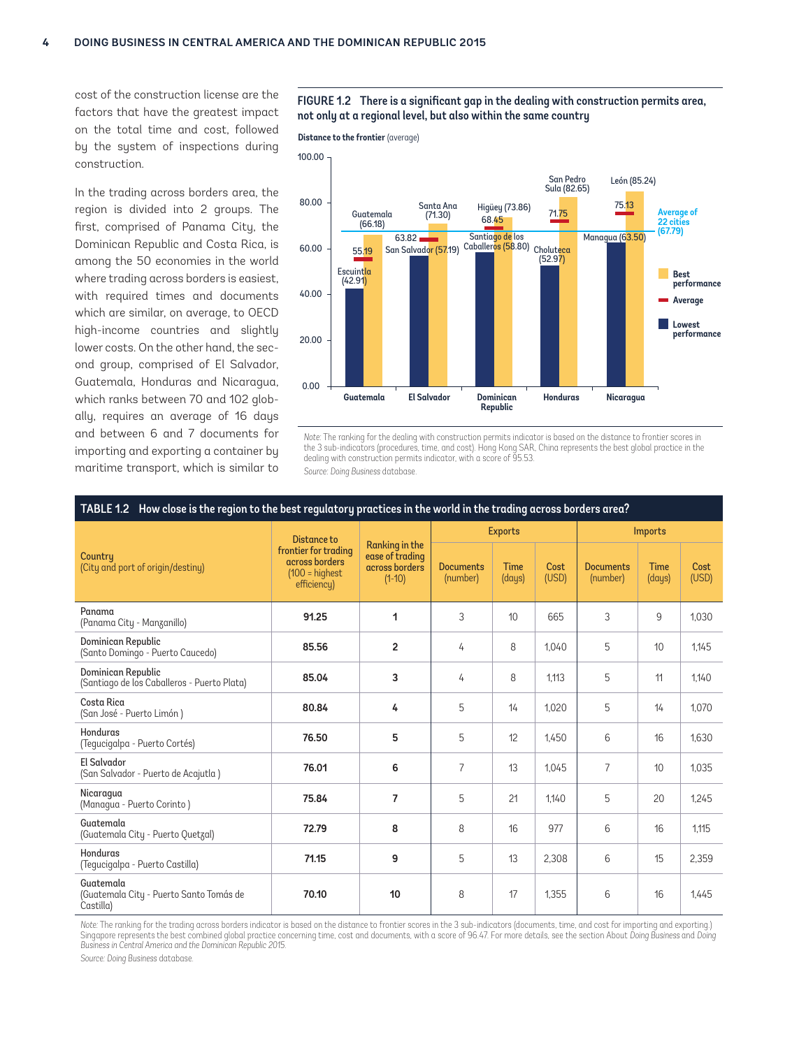cost of the construction license are the factors that have the greatest impact on the total time and cost, followed by the system of inspections during construction.

In the trading across borders area, the region is divided into 2 groups. The first, comprised of Panama City, the Dominican Republic and Costa Rica, is among the 50 economies in the world where trading across borders is easiest, with required times and documents which are similar, on average, to OECD high-income countries and slightly lower costs. On the other hand, the second group, comprised of El Salvador, Guatemala, Honduras and Nicaragua, which ranks between 70 and 102 globally, requires an average of 16 days and between 6 and 7 documents for importing and exporting a container by maritime transport, which is similar to

FIGURE 1.2 There is a significant gap in the dealing with construction permits area, not only at a regional level, but also within the same country





*Note:* The ranking for the dealing with construction permits indicator is based on the distance to frontier scores in the 3 sub-indicators (procedures, time, and cost). Hong Kong SAR, China represents the best global practice in the dealing with construction permits indicator, with a score of 95.53. *Source: Doing Business* database.

|                                                                   | _______<br>эг                                                                                   |                                                                 |                              |                       |               |                              |                       |               |
|-------------------------------------------------------------------|-------------------------------------------------------------------------------------------------|-----------------------------------------------------------------|------------------------------|-----------------------|---------------|------------------------------|-----------------------|---------------|
|                                                                   | <b>Distance to</b><br>frontier for tradina<br>across borders<br>$(100 =$ highest<br>efficiency) | Ranking in the<br>ease of trading<br>across borders<br>$(1-10)$ | <b>Exports</b>               |                       |               | <b>Imports</b>               |                       |               |
| Country<br>(City and port of origin/destiny)                      |                                                                                                 |                                                                 | <b>Documents</b><br>(number) | <b>Time</b><br>(days) | Cost<br>(USD) | <b>Documents</b><br>(number) | <b>Time</b><br>(days) | Cost<br>(USD) |
| Panama<br>(Panama City - Manzanillo)                              | 91.25                                                                                           | 1                                                               | 3                            | 10                    | 665           | 3                            | 9                     | 1.030         |
| Dominican Republic<br>(Santo Domingo - Puerto Caucedo)            | 85.56                                                                                           | $\overline{2}$                                                  | 4                            | 8                     | 1.040         | 5                            | 10                    | 1.145         |
| Dominican Republic<br>(Santiago de los Caballeros - Puerto Plata) | 85.04                                                                                           | 3                                                               | 4                            | 8                     | 1.113         | 5                            | 11                    | 1.140         |
| Costa Rica<br>(San José - Puerto Limón)                           | 80.84                                                                                           | 4                                                               | 5                            | 14                    | 1.020         | 5                            | 14                    | 1.070         |
| Honduras<br>(Tequcigalpa - Puerto Cortés)                         | 76.50                                                                                           | 5                                                               | 5                            | 12                    | 1,450         | 6                            | 16                    | 1,630         |
| El Salvador<br>(San Salvador - Puerto de Acajutla)                | 76.01                                                                                           | 6                                                               | $\overline{7}$               | 13                    | 1.045         | $\overline{7}$               | 10                    | 1.035         |
| Nicaragua<br>(Managua - Puerto Corinto)                           | 75.84                                                                                           | $\overline{7}$                                                  | 5                            | 21                    | 1.140         | 5                            | 20                    | 1,245         |
| Guatemala<br>(Guatemala City - Puerto Quetzal)                    | 72.79                                                                                           | 8                                                               | 8                            | 16                    | 977           | 6                            | 16                    | 1.115         |
| Honduras<br>(Tegucigalpa - Puerto Castilla)                       | 71.15                                                                                           | 9                                                               | 5                            | 13                    | 2,308         | 6                            | 15                    | 2.359         |
| Guatemala<br>(Guatemala City - Puerto Santo Tomás de<br>Castilla) | 70.10                                                                                           | 10                                                              | 8                            | 17                    | 1.355         | 6                            | 16                    | 1.445         |

## TABLE 1.2 How close is the region to the best regulatory practices in the world in the trading across borders area?

*Note:* The ranking for the trading across borders indicator is based on the distance to frontier scores in the 3 sub-indicators (documents, time, and cost for importing and exporting.) Singapore represents the best combined global practice concerning time, cost and documents, with a score of 96.47. For more details, see the section About *Doing Business* and *Doing Business in Central America and the Dominican Republic 2015*.

*Source: Doing Business* database.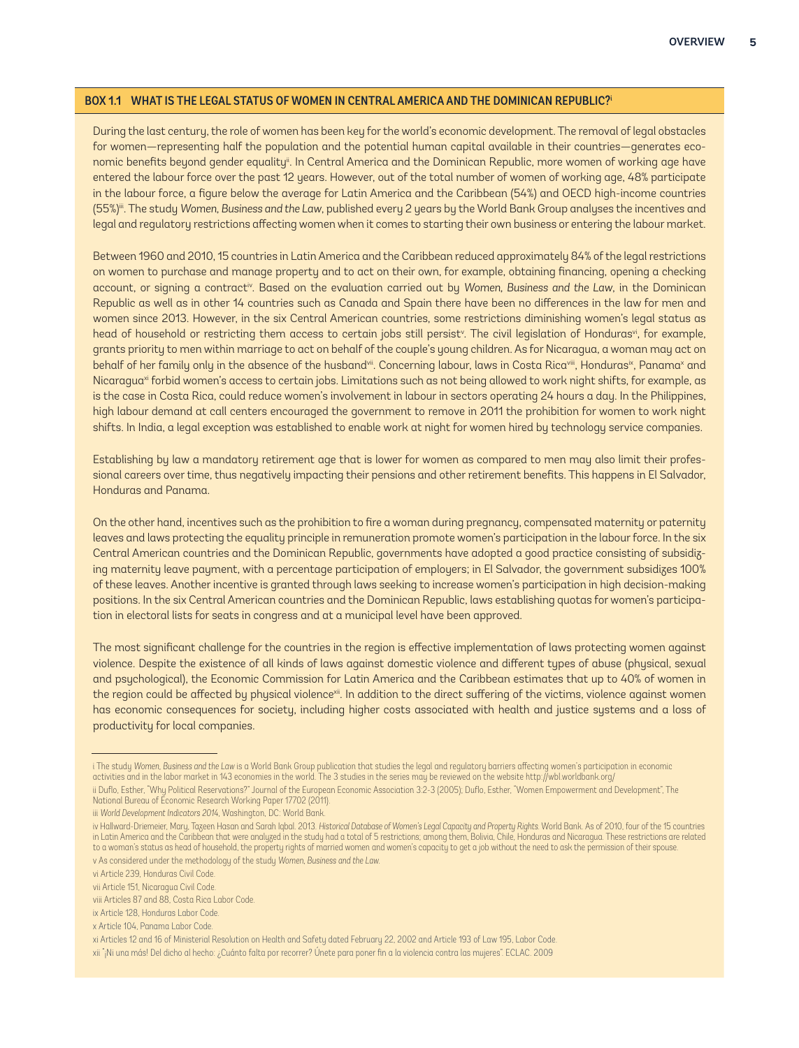#### BOX 1.1 WHAT IS THE LEGAL STATUS OF WOMEN IN CENTRAL AMERICA AND THE DOMINICAN REPUBLIC?

During the last century, the role of women has been key for the world's economic development. The removal of legal obstacles for women—representing half the population and the potential human capital available in their countries—generates economic benefits beyond gender equalityii. In Central America and the Dominican Republic, more women of working age have entered the labour force over the past 12 years. However, out of the total number of women of working age, 48% participate in the labour force, a figure below the average for Latin America and the Caribbean (54%) and OECD high-income countries (55%)iii. The study *Women, Business and the Law*, published every 2 years by the World Bank Group analyses the incentives and legal and regulatory restrictions affecting women when it comes to starting their own business or entering the labour market.

Between 1960 and 2010, 15 countries in Latin America and the Caribbean reduced approximately 84% of the legal restrictions on women to purchase and manage property and to act on their own, for example, obtaining financing, opening a checking account, or signing a contract<sup>iv</sup>. Based on the evaluation carried out by Women, Business and the Law, in the Dominican Republic as well as in other 14 countries such as Canada and Spain there have been no differences in the law for men and women since 2013. However, in the six Central American countries, some restrictions diminishing women's legal status as head of household or restricting them access to certain jobs still persist<sup>v</sup>. The civil legislation of Honduras<sup>vi</sup>, for example, grants priority to men within marriage to act on behalf of the couple's young children. As for Nicaragua, a woman may act on behalf of her family only in the absence of the husband<sup>vii</sup>. Concerning labour, laws in Costa Rica<sup>vii</sup>, Honduras<sup>ix</sup>, Panama<sup>x</sup> and Nicaragua<sup>xi</sup> forbid women's access to certain jobs. Limitations such as not being allowed to work night shifts, for example, as is the case in Costa Rica, could reduce women's involvement in labour in sectors operating 24 hours a day. In the Philippines, high labour demand at call centers encouraged the government to remove in 2011 the prohibition for women to work night shifts. In India, a legal exception was established to enable work at night for women hired by technology service companies.

Establishing by law a mandatory retirement age that is lower for women as compared to men may also limit their professional careers over time, thus negatively impacting their pensions and other retirement benefits. This happens in El Salvador, Honduras and Panama.

On the other hand, incentives such as the prohibition to fire a woman during pregnancy, compensated maternity or paternity leaves and laws protecting the equality principle in remuneration promote women's participation in the labour force. In the six Central American countries and the Dominican Republic, governments have adopted a good practice consisting of subsidizing maternity leave payment, with a percentage participation of employers; in El Salvador, the government subsidizes 100% of these leaves. Another incentive is granted through laws seeking to increase women's participation in high decision-making positions. In the six Central American countries and the Dominican Republic, laws establishing quotas for women's participation in electoral lists for seats in congress and at a municipal level have been approved.

The most significant challenge for the countries in the region is effective implementation of laws protecting women against violence. Despite the existence of all kinds of laws against domestic violence and different types of abuse (physical, sexual and psychological), the Economic Commission for Latin America and the Caribbean estimates that up to 40% of women in the region could be affected by physical violence<sup>xii</sup>. In addition to the direct suffering of the victims, violence against women has economic consequences for society, including higher costs associated with health and justice systems and a loss of productivity for local companies.

i The study *Women, Business and the Law* is a World Bank Group publication that studies the legal and regulatory barriers affecting women's participation in economic activities and in the labor market in 143 economies in the world. The 3 studies in the series may be reviewed on the website http://wbl.worldbank.org/

ii Duflo, Esther, "Why Political Reservations?" Journal of the European Economic Association 3:2-3 (2005); Duflo, Esther, "Women Empowerment and Development", The National Bureau of Economic Research Working Paper 17702 (2011).

iii *World Development Indicators 2014*, Washington, DC: World Bank.

iv Hallward-Driemeier, Mary, Tazeen Hasan and Sarah Iqbal. 2013. *Historical Database of Women's Legal Capacity and Property Rights*. World Bank. As of 2010, four of the 15 countries in Latin America and the Caribbean that were analyzed in the study had a total of 5 restrictions; among them, Bolivia, Chile, Honduras and Nicaragua. These restrictions are related to a woman's status as head of household, the property rights of married women and women's capacity to get a job without the need to ask the permission of their spouse. v As considered under the methodology of the study *Women, Business and the Law.*

vi Article 239, Honduras Civil Code.

vii Article 151, Nicaragua Civil Code.

viii Articles 87 and 88, Costa Rica Labor Code.

ix Article 128, Honduras Labor Code.

x Article 104, Panama Labor Code.

xi Articles 12 and 16 of Ministerial Resolution on Health and Safety dated February 22, 2002 and Article 193 of Law 195, Labor Code.

xii "¡Ni una más! Del dicho al hecho: ¿Cuánto falta por recorrer? Únete para poner fin a la violencia contra las mujeres". ECLAC. 2009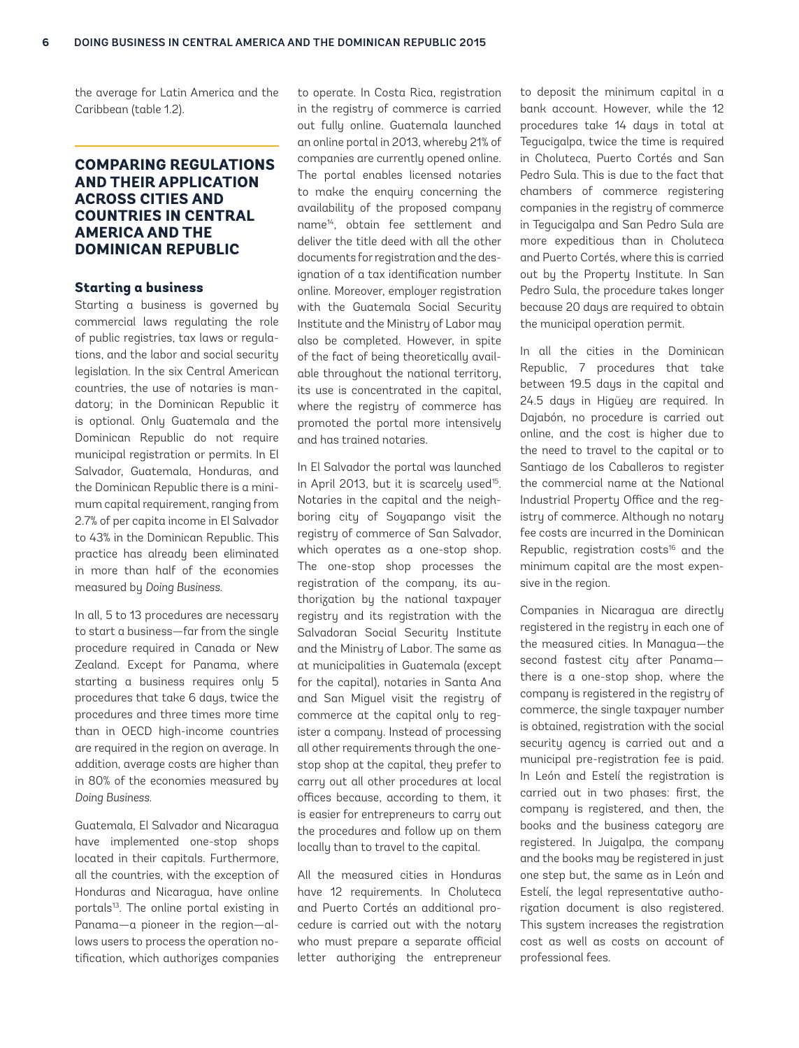the average for Latin America and the Caribbean (table 1.2).

# **COMPARING REGULATIONS AND THEIR APPLICATION ACROSS CITIES AND COUNTRIES IN CENTRAL AMERICA AND THE DOMINICAN REPUBLIC**

#### **Starting a business**

Starting a business is governed by commercial laws regulating the role of public registries, tax laws or regulations, and the labor and social security legislation. In the six Central American countries, the use of notaries is mandatory; in the Dominican Republic it is optional. Only Guatemala and the Dominican Republic do not require municipal registration or permits. In El Salvador, Guatemala, Honduras, and the Dominican Republic there is a minimum capital requirement, ranging from 2.7% of per capita income in El Salvador to 43% in the Dominican Republic. This practice has already been eliminated in more than half of the economies measured by *Doing Business*.

In all, 5 to 13 procedures are necessary to start a business—far from the single procedure required in Canada or New Zealand. Except for Panama, where starting a business requires only 5 procedures that take 6 days, twice the procedures and three times more time than in OECD high-income countries are required in the region on average. In addition, average costs are higher than in 80% of the economies measured by *Doing Business*.

Guatemala, El Salvador and Nicaragua have implemented one-stop shops located in their capitals. Furthermore, all the countries, with the exception of Honduras and Nicaragua, have online portals<sup>13</sup>. The online portal existing in Panama—a pioneer in the region—allows users to process the operation notification, which authorizes companies

to operate. In Costa Rica, registration in the registry of commerce is carried out fully online. Guatemala launched an online portal in 2013, whereby 21% of companies are currently opened online. The portal enables licensed notaries to make the enquiry concerning the availability of the proposed company name14, obtain fee settlement and deliver the title deed with all the other documents for registration and the designation of a tax identification number online. Moreover, employer registration with the Guatemala Social Security Institute and the Ministry of Labor may also be completed. However, in spite of the fact of being theoretically available throughout the national territory, its use is concentrated in the capital, where the registry of commerce has promoted the portal more intensively and has trained notaries.

In El Salvador the portal was launched in April 2013, but it is scarcely used<sup>15</sup>. Notaries in the capital and the neighboring city of Soyapango visit the registry of commerce of San Salvador, which operates as a one-stop shop. The one-stop shop processes the registration of the company, its authorization by the national taxpayer registry and its registration with the Salvadoran Social Security Institute and the Ministry of Labor. The same as at municipalities in Guatemala (except for the capital), notaries in Santa Ana and San Miguel visit the registry of commerce at the capital only to register a company. Instead of processing all other requirements through the onestop shop at the capital, they prefer to carry out all other procedures at local offices because, according to them, it is easier for entrepreneurs to carry out the procedures and follow up on them locally than to travel to the capital.

All the measured cities in Honduras have 12 requirements. In Choluteca and Puerto Cortés an additional procedure is carried out with the notary who must prepare a separate official letter authorizing the entrepreneur

to deposit the minimum capital in a bank account. However, while the 12 procedures take 14 days in total at Tegucigalpa, twice the time is required in Choluteca, Puerto Cortés and San Pedro Sula. This is due to the fact that chambers of commerce registering companies in the registry of commerce in Tegucigalpa and San Pedro Sula are more expeditious than in Choluteca and Puerto Cortés, where this is carried out by the Property Institute. In San Pedro Sula, the procedure takes longer because 20 days are required to obtain the municipal operation permit.

In all the cities in the Dominican Republic, 7 procedures that take between 19.5 days in the capital and 24.5 days in Higüey are required. In Dajabón, no procedure is carried out online, and the cost is higher due to the need to travel to the capital or to Santiago de los Caballeros to register the commercial name at the National Industrial Property Office and the registry of commerce. Although no notary fee costs are incurred in the Dominican Republic, registration costs<sup>16</sup> and the minimum capital are the most expensive in the region.

Companies in Nicaragua are directly registered in the registry in each one of the measured cities. In Managua—the second fastest city after Panama there is a one-stop shop, where the company is registered in the registry of commerce, the single taxpayer number is obtained, registration with the social security agency is carried out and a municipal pre-registration fee is paid. In León and Estelí the registration is carried out in two phases: first, the company is registered, and then, the books and the business category are registered. In Juigalpa, the company and the books may be registered in just one step but, the same as in León and Estelí, the legal representative authorization document is also registered. This system increases the registration cost as well as costs on account of professional fees.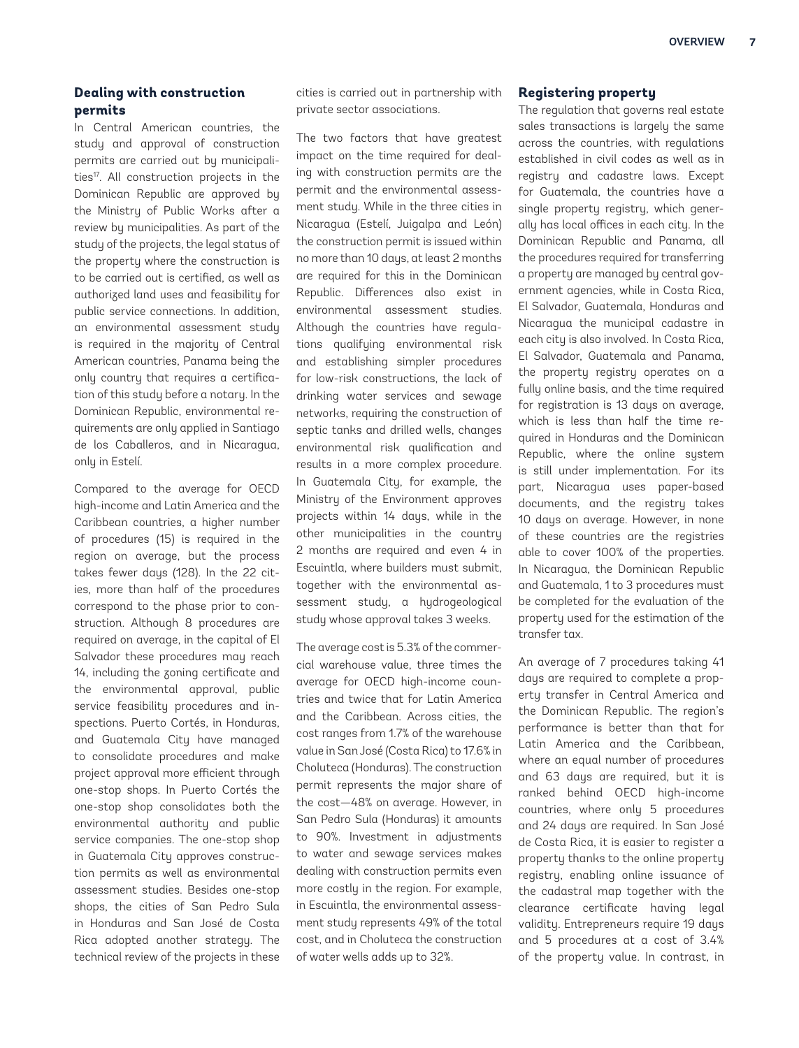## **Dealing with construction permits**

In Central American countries, the study and approval of construction permits are carried out by municipalities<sup>17</sup>. All construction projects in the Dominican Republic are approved by the Ministry of Public Works after a review by municipalities. As part of the study of the projects, the legal status of the property where the construction is to be carried out is certified, as well as authorized land uses and feasibility for public service connections. In addition, an environmental assessment study is required in the majority of Central American countries, Panama being the only country that requires a certification of this study before a notary. In the Dominican Republic, environmental requirements are only applied in Santiago de los Caballeros, and in Nicaragua, only in Estelí.

Compared to the average for OECD high-income and Latin America and the Caribbean countries, a higher number of procedures (15) is required in the region on average, but the process takes fewer days (128). In the 22 cities, more than half of the procedures correspond to the phase prior to construction. Although 8 procedures are required on average, in the capital of El Salvador these procedures may reach 14, including the zoning certificate and the environmental approval, public service feasibility procedures and inspections. Puerto Cortés, in Honduras, and Guatemala City have managed to consolidate procedures and make project approval more efficient through one-stop shops. In Puerto Cortés the one-stop shop consolidates both the environmental authority and public service companies. The one-stop shop in Guatemala City approves construction permits as well as environmental assessment studies. Besides one-stop shops, the cities of San Pedro Sula in Honduras and San José de Costa Rica adopted another strategy. The technical review of the projects in these

cities is carried out in partnership with private sector associations.

The two factors that have greatest impact on the time required for dealing with construction permits are the permit and the environmental assessment study. While in the three cities in Nicaragua (Estelí, Juigalpa and León) the construction permit is issued within no more than 10 days, at least 2 months are required for this in the Dominican Republic. Differences also exist in environmental assessment studies. Although the countries have regulations qualifying environmental risk and establishing simpler procedures for low-risk constructions, the lack of drinking water services and sewage networks, requiring the construction of septic tanks and drilled wells, changes environmental risk qualification and results in a more complex procedure. In Guatemala City, for example, the Ministry of the Environment approves projects within 14 days, while in the other municipalities in the country 2 months are required and even 4 in Escuintla, where builders must submit, together with the environmental assessment study, a hydrogeological study whose approval takes 3 weeks.

The average cost is 5.3% of the commercial warehouse value, three times the average for OECD high-income countries and twice that for Latin America and the Caribbean. Across cities, the cost ranges from 1.7% of the warehouse value in San José (Costa Rica) to 17.6% in Choluteca (Honduras). The construction permit represents the major share of the cost—48% on average. However, in San Pedro Sula (Honduras) it amounts to 90%. Investment in adjustments to water and sewage services makes dealing with construction permits even more costly in the region. For example, in Escuintla, the environmental assessment study represents 49% of the total cost, and in Choluteca the construction of water wells adds up to 32%.

#### **Registering property**

The regulation that governs real estate sales transactions is largely the same across the countries, with regulations established in civil codes as well as in registry and cadastre laws. Except for Guatemala, the countries have a single property registry, which generally has local offices in each city. In the Dominican Republic and Panama, all the procedures required for transferring a property are managed by central government agencies, while in Costa Rica, El Salvador, Guatemala, Honduras and Nicaragua the municipal cadastre in each city is also involved. In Costa Rica, El Salvador, Guatemala and Panama, the property registry operates on a fully online basis, and the time required for registration is 13 days on average, which is less than half the time required in Honduras and the Dominican Republic, where the online system is still under implementation. For its part, Nicaragua uses paper-based documents, and the registry takes 10 days on average. However, in none of these countries are the registries able to cover 100% of the properties. In Nicaragua, the Dominican Republic and Guatemala, 1 to 3 procedures must be completed for the evaluation of the property used for the estimation of the transfer tax.

An average of 7 procedures taking 41 days are required to complete a property transfer in Central America and the Dominican Republic. The region's performance is better than that for Latin America and the Caribbean, where an equal number of procedures and 63 days are required, but it is ranked behind OECD high-income countries, where only 5 procedures and 24 days are required. In San José de Costa Rica, it is easier to register a property thanks to the online property registry, enabling online issuance of the cadastral map together with the clearance certificate having legal validity. Entrepreneurs require 19 days and 5 procedures at a cost of 3.4% of the property value. In contrast, in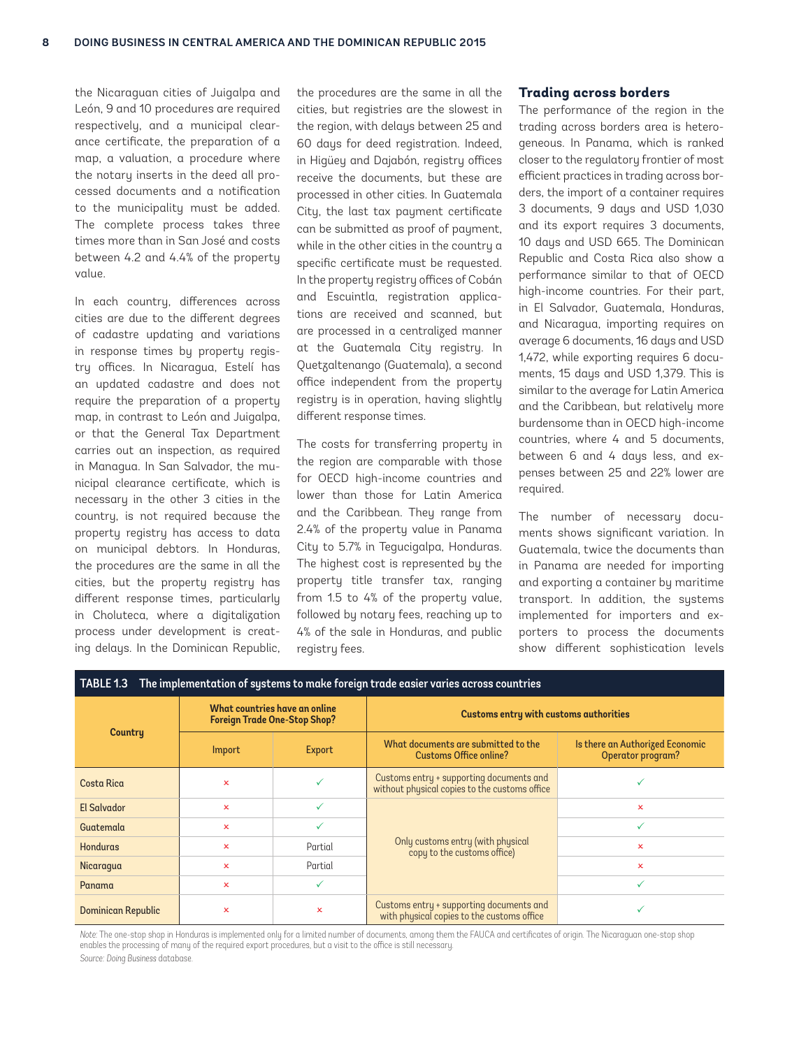the Nicaraguan cities of Juigalpa and León, 9 and 10 procedures are required respectively, and a municipal clearance certificate, the preparation of a map, a valuation, a procedure where the notary inserts in the deed all processed documents and a notification to the municipality must be added. The complete process takes three times more than in San José and costs between 4.2 and 4.4% of the property value.

In each country, differences across cities are due to the different degrees of cadastre updating and variations in response times by property registry offices. In Nicaragua, Estelí has an updated cadastre and does not require the preparation of a property map, in contrast to León and Juigalpa, or that the General Tax Department carries out an inspection, as required in Managua. In San Salvador, the municipal clearance certificate, which is necessary in the other 3 cities in the country, is not required because the property registry has access to data on municipal debtors. In Honduras, the procedures are the same in all the cities, but the property registry has different response times, particularly in Choluteca, where a digitalization process under development is creating delays. In the Dominican Republic,

the procedures are the same in all the cities, but registries are the slowest in the region, with delays between 25 and 60 days for deed registration. Indeed, in Higüey and Dajabón, registry offices receive the documents, but these are processed in other cities. In Guatemala City, the last tax payment certificate can be submitted as proof of payment, while in the other cities in the country a specific certificate must be requested. In the property registry offices of Cobán and Escuintla, registration applications are received and scanned, but are processed in a centralized manner at the Guatemala City registry. In Quetzaltenango (Guatemala), a second office independent from the property registry is in operation, having slightly different response times.

The costs for transferring property in the region are comparable with those for OECD high-income countries and lower than those for Latin America and the Caribbean. They range from 2.4% of the property value in Panama City to 5.7% in Tegucigalpa, Honduras. The highest cost is represented by the property title transfer tax, ranging from 1.5 to 4% of the property value, followed by notary fees, reaching up to 4% of the sale in Honduras, and public registry fees.

#### **Trading across borders**

The performance of the region in the trading across borders area is heterogeneous. In Panama, which is ranked closer to the regulatory frontier of most efficient practices in trading across borders, the import of a container requires 3 documents, 9 days and USD 1,030 and its export requires 3 documents, 10 days and USD 665. The Dominican Republic and Costa Rica also show a performance similar to that of OECD high-income countries. For their part, in El Salvador, Guatemala, Honduras, and Nicaragua, importing requires on average 6 documents, 16 days and USD 1,472, while exporting requires 6 documents, 15 days and USD 1,379. This is similar to the average for Latin America and the Caribbean, but relatively more burdensome than in OECD high-income countries, where 4 and 5 documents, between 6 and 4 days less, and expenses between 25 and 22% lower are required.

The number of necessary documents shows significant variation. In Guatemala, twice the documents than in Panama are needed for importing and exporting a container by maritime transport. In addition, the systems implemented for importers and exporters to process the documents show different sophistication levels

| TABLE 1.3 The implementation of systems to make foreign trade easier varies across countries |             |                                                                      |                                                                                           |                                                      |  |  |  |  |
|----------------------------------------------------------------------------------------------|-------------|----------------------------------------------------------------------|-------------------------------------------------------------------------------------------|------------------------------------------------------|--|--|--|--|
|                                                                                              |             | What countries have an online<br><b>Foreign Trade One-Stop Shop?</b> | Customs entry with customs authorities                                                    |                                                      |  |  |  |  |
| Country                                                                                      | Import      | Export                                                               | What documents are submitted to the<br><b>Customs Office online?</b>                      | Is there an Authorized Economic<br>Operator program? |  |  |  |  |
| Costa Rica                                                                                   | $\mathbf x$ |                                                                      | Customs entry + supporting documents and<br>without physical copies to the customs office |                                                      |  |  |  |  |
| <b>El Salvador</b>                                                                           | ×           | $\checkmark$                                                         |                                                                                           | ×                                                    |  |  |  |  |
| Guatemala                                                                                    | ×           |                                                                      |                                                                                           |                                                      |  |  |  |  |
| <b>Honduras</b>                                                                              | ×           | Partial                                                              | Only customs entry (with physical<br>copy to the customs office)                          | ×                                                    |  |  |  |  |
| Nicaragua                                                                                    | ×           | Partial                                                              |                                                                                           | ×                                                    |  |  |  |  |
| Panama                                                                                       | ×           | ✓                                                                    |                                                                                           | $\checkmark$                                         |  |  |  |  |
| <b>Dominican Republic</b>                                                                    | ×           | ×                                                                    | Customs entry + supporting documents and<br>with physical copies to the customs office    |                                                      |  |  |  |  |

*Note:* The one-stop shop in Honduras is implemented only for a limited number of documents, among them the FAUCA and certificates of origin. The Nicaraguan one-stop shop enables the processing of many of the required export procedures, but a visit to the office is still necessary. *Source: Doing Business* database.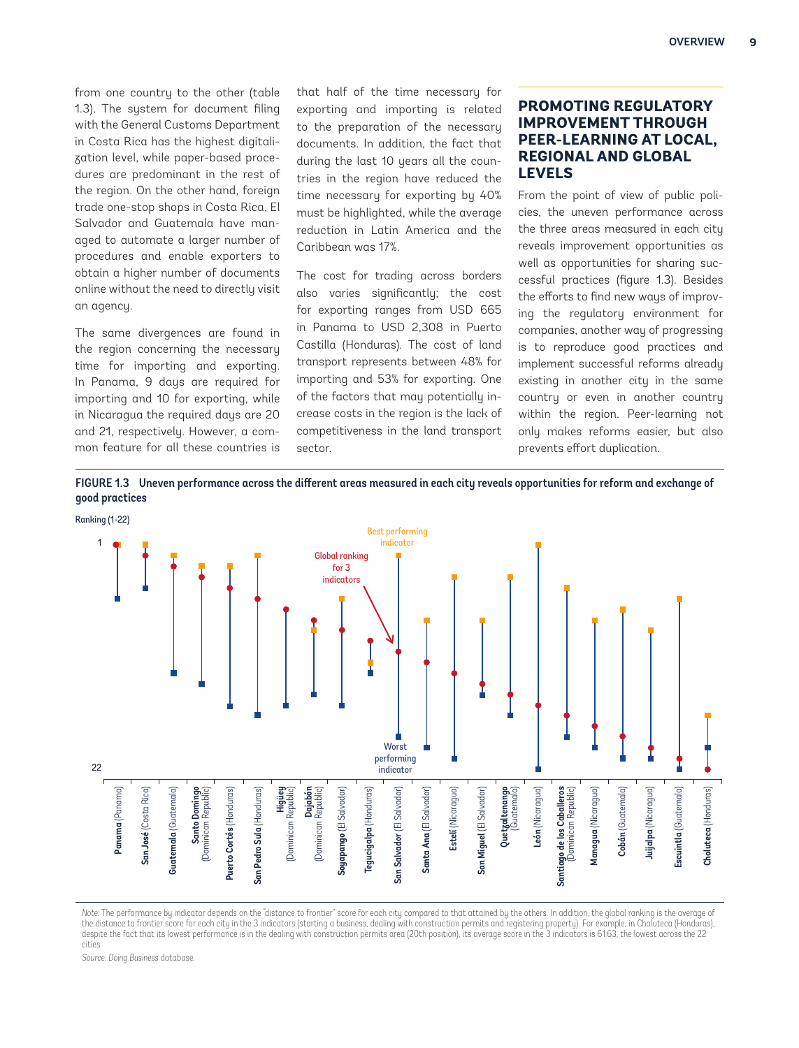from one country to the other (table 1.3). The system for document filing with the General Customs Department in Costa Rica has the highest digitalization level, while paper-based procedures are predominant in the rest of the region. On the other hand, foreign trade one-stop shops in Costa Rica, El Salvador and Guatemala have managed to automate a larger number of procedures and enable exporters to obtain a higher number of documents online without the need to directly visit an agency.

The same divergences are found in the region concerning the necessary time for importing and exporting. In Panama, 9 days are required for importing and 10 for exporting, while in Nicaragua the required days are 20 and 21, respectively. However, a common feature for all these countries is that half of the time necessary for exporting and importing is related to the preparation of the necessary documents. In addition, the fact that during the last 10 years all the countries in the region have reduced the time necessary for exporting by 40% must be highlighted, while the average reduction in Latin America and the Caribbean was 17%.

The cost for trading across borders also varies significantly; the cost for exporting ranges from USD 665 in Panama to USD 2,308 in Puerto Castilla (Honduras). The cost of land transport represents between 48% for importing and 53% for exporting. One of the factors that may potentially increase costs in the region is the lack of competitiveness in the land transport sector.

# **PROMOTING REGULATORY IMPROVEMENT THROUGH PEER-LEARNING AT LOCAL, REGIONAL AND GLOBAL LEVELS**

From the point of view of public policies, the uneven performance across the three areas measured in each city reveals improvement opportunities as well as opportunities for sharing successful practices (figure 1.3). Besides the efforts to find new ways of improving the regulatory environment for companies, another way of progressing is to reproduce good practices and implement successful reforms already existing in another city in the same country or even in another country within the region. Peer-learning not only makes reforms easier, but also prevents effort duplication.





Note: The performance by indicator depends on the "distance to frontier" score for each city compared to that attained by the others. In addition, the global ranking is the average of<br>the distance to frontier score for eac cities.

*Source: Doing Business* database.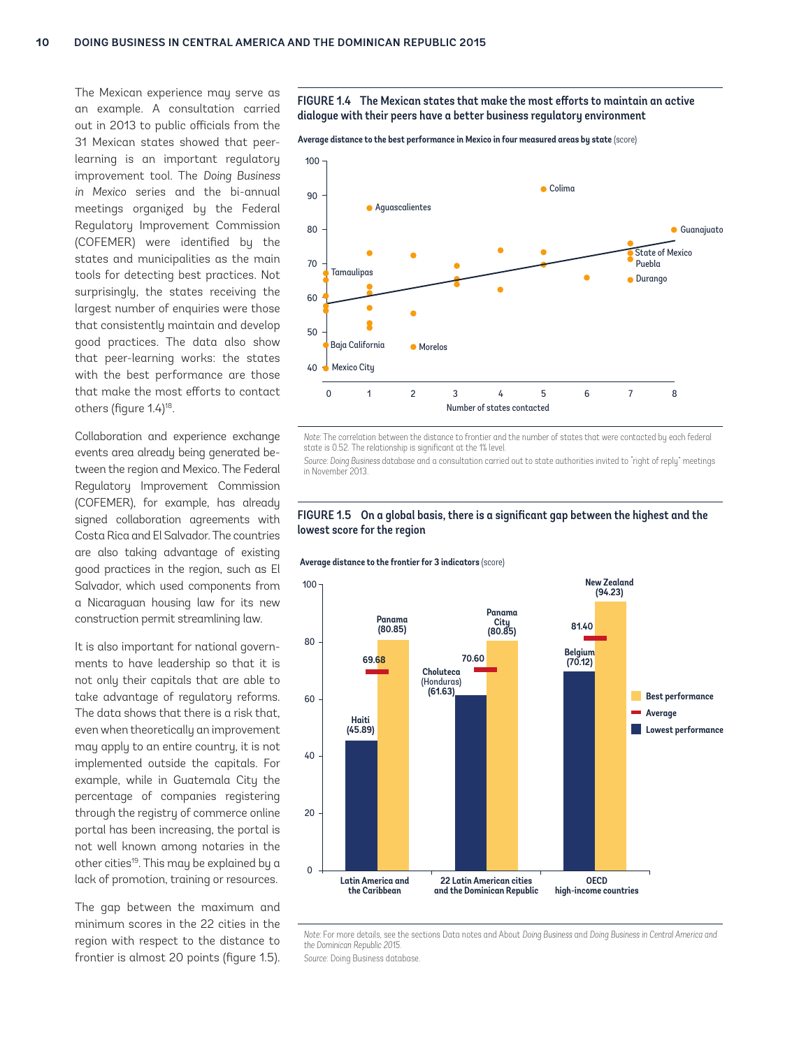The Mexican experience may serve as an example. A consultation carried out in 2013 to public officials from the 31 Mexican states showed that peerlearning is an important regulatory improvement tool. The *Doing Business in Mexico* series and the bi-annual meetings organized by the Federal Regulatory Improvement Commission (COFEMER) were identified by the states and municipalities as the main tools for detecting best practices. Not surprisingly, the states receiving the largest number of enquiries were those that consistently maintain and develop good practices. The data also show that peer-learning works: the states with the best performance are those that make the most efforts to contact others (figure 1.4)18.

Collaboration and experience exchange events area already being generated between the region and Mexico. The Federal Regulatory Improvement Commission (COFEMER), for example, has already signed collaboration agreements with Costa Rica and El Salvador. The countries are also taking advantage of existing good practices in the region, such as El Salvador, which used components from a Nicaraguan housing law for its new construction permit streamlining law.

It is also important for national governments to have leadership so that it is not only their capitals that are able to take advantage of regulatory reforms. The data shows that there is a risk that, even when theoretically an improvement may apply to an entire country, it is not implemented outside the capitals. For example, while in Guatemala City the percentage of companies registering through the registry of commerce online portal has been increasing, the portal is not well known among notaries in the other cities<sup>19</sup>. This may be explained by a lack of promotion, training or resources.

The gap between the maximum and minimum scores in the 22 cities in the region with respect to the distance to frontier is almost 20 points (figure 1.5).

FIGURE 1.4 The Mexican states that make the most efforts to maintain an active dialogue with their peers have a better business regulatory environment

**Average distance to the best performance in Mexico in four measured areas by state** (score)



*Note:* The correlation between the distance to frontier and the number of states that were contacted by each federal state is 0.52. The relationship is significant at the 1% level.

*Source: Doing Business* database and a consultation carried out to state authorities invited to "right of reply" meetings in November 2013.



#### FIGURE 1.5 On a global basis, there is a significant gap between the highest and the lowest score for the region

**Average distance to the frontier for 3 indicators** (score)

*Note:* For more details, see the sections Data notes and About *Doing Business* and *Doing Business in Central America and the Dominican Republic 2015*.

*Source*: Doing Business database.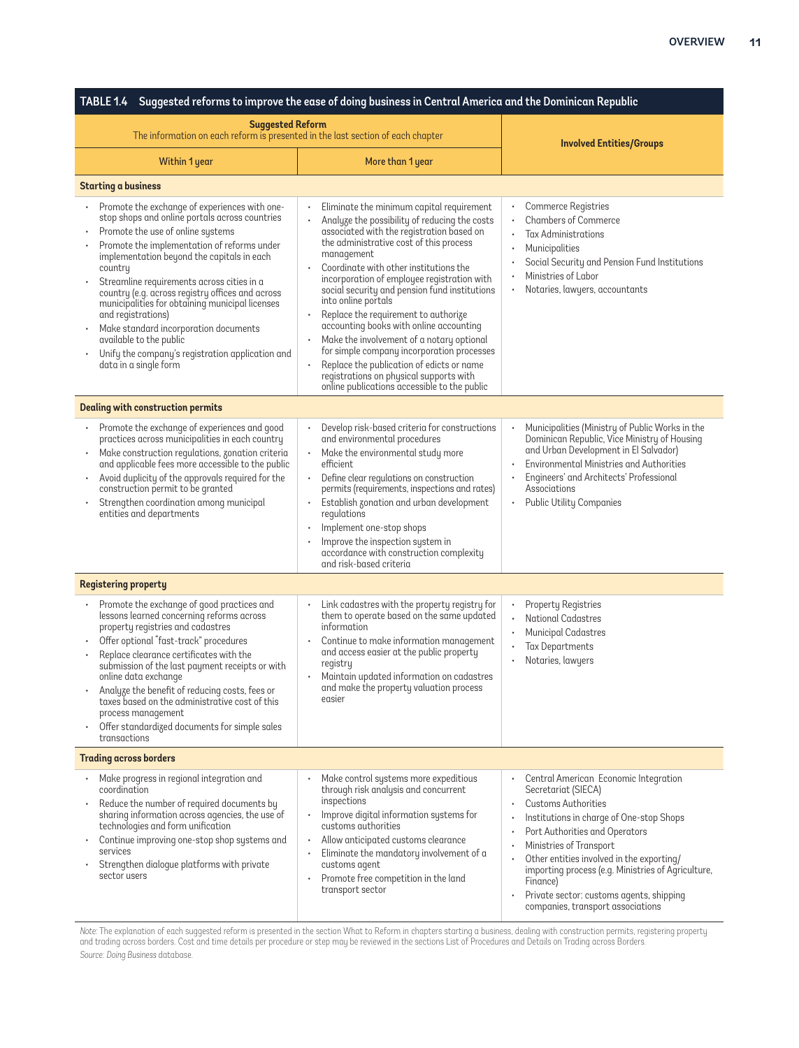| Suggested reforms to improve the ease of doing business in Central America and the Dominican Republic<br>TABLE 1.4                                                                                                                                                                                                                                                                                                                                                                                                                                                       |                                                                                                                                                                                                                                                                                                                                                                                                                                                                                                                                                                                                                                                                                         |                                                                                                                                                                                                                                                                                                                                                                                                                               |  |  |  |  |  |  |
|--------------------------------------------------------------------------------------------------------------------------------------------------------------------------------------------------------------------------------------------------------------------------------------------------------------------------------------------------------------------------------------------------------------------------------------------------------------------------------------------------------------------------------------------------------------------------|-----------------------------------------------------------------------------------------------------------------------------------------------------------------------------------------------------------------------------------------------------------------------------------------------------------------------------------------------------------------------------------------------------------------------------------------------------------------------------------------------------------------------------------------------------------------------------------------------------------------------------------------------------------------------------------------|-------------------------------------------------------------------------------------------------------------------------------------------------------------------------------------------------------------------------------------------------------------------------------------------------------------------------------------------------------------------------------------------------------------------------------|--|--|--|--|--|--|
| <b>Suggested Reform</b><br>The information on each reform is presented in the last section of each chapter                                                                                                                                                                                                                                                                                                                                                                                                                                                               | <b>Involved Entities/Groups</b>                                                                                                                                                                                                                                                                                                                                                                                                                                                                                                                                                                                                                                                         |                                                                                                                                                                                                                                                                                                                                                                                                                               |  |  |  |  |  |  |
| <b>Within 1 year</b>                                                                                                                                                                                                                                                                                                                                                                                                                                                                                                                                                     | More than 1 year                                                                                                                                                                                                                                                                                                                                                                                                                                                                                                                                                                                                                                                                        |                                                                                                                                                                                                                                                                                                                                                                                                                               |  |  |  |  |  |  |
| <b>Starting a business</b>                                                                                                                                                                                                                                                                                                                                                                                                                                                                                                                                               |                                                                                                                                                                                                                                                                                                                                                                                                                                                                                                                                                                                                                                                                                         |                                                                                                                                                                                                                                                                                                                                                                                                                               |  |  |  |  |  |  |
| Promote the exchange of experiences with one-<br>stop shops and online portals across countries<br>Promote the use of online systems<br>Promote the implementation of reforms under<br>implementation beyond the capitals in each<br>country<br>Streamline requirements across cities in a<br>country (e.g. across registry offices and across<br>municipalities for obtaining municipal licenses<br>and registrations)<br>Make standard incorporation documents<br>available to the public<br>Unify the company's registration application and<br>data in a single form | Eliminate the minimum capital requirement<br>Analyze the possibility of reducing the costs<br>associated with the registration based on<br>the administrative cost of this process<br>management<br>Coordinate with other institutions the<br>incorporation of employee registration with<br>social security and pension fund institutions<br>into online portals<br>Replace the requirement to authorize<br>accounting books with online accounting<br>Make the involvement of a notary optional<br>for simple company incorporation processes<br>Replace the publication of edicts or name<br>registrations on physical supports with<br>online publications accessible to the public | Commerce Registries<br>$\bullet$<br><b>Chambers of Commerce</b><br>Tax Administrations<br>$\bullet$<br>Municipalities<br>$\bullet$<br>Social Security and Pension Fund Institutions<br>Ministries of Labor<br>٠<br>Notaries, lawyers, accountants<br>$\bullet$                                                                                                                                                                |  |  |  |  |  |  |
| <b>Dealing with construction permits</b>                                                                                                                                                                                                                                                                                                                                                                                                                                                                                                                                 |                                                                                                                                                                                                                                                                                                                                                                                                                                                                                                                                                                                                                                                                                         |                                                                                                                                                                                                                                                                                                                                                                                                                               |  |  |  |  |  |  |
| Promote the exchange of experiences and good<br>practices across municipalities in each country<br>Make construction regulations, zonation criteria<br>and applicable fees more accessible to the public<br>Avoid duplicity of the approvals required for the<br>construction permit to be granted<br>Strengthen coordination among municipal<br>entities and departments                                                                                                                                                                                                | Develop risk-based criteria for constructions<br>and environmental procedures<br>Make the environmental study more<br>$\bullet$<br>efficient<br>Define clear regulations on construction<br>$\bullet$<br>permits (requirements, inspections and rates)<br>Establish zonation and urban development<br>requlations<br>Implement one-stop shops<br>Improve the inspection system in<br>accordance with construction complexity<br>and risk-based criteria                                                                                                                                                                                                                                 | Municipalities (Ministry of Public Works in the<br>$\bullet$<br>Dominican Republic, Vice Ministry of Housing<br>and Urban Development in El Salvador)<br><b>Environmental Ministries and Authorities</b><br>Engineers' and Architects' Professional<br>$\bullet$<br>Associations<br><b>Public Utility Companies</b><br>$\bullet$                                                                                              |  |  |  |  |  |  |
| Registering property                                                                                                                                                                                                                                                                                                                                                                                                                                                                                                                                                     |                                                                                                                                                                                                                                                                                                                                                                                                                                                                                                                                                                                                                                                                                         |                                                                                                                                                                                                                                                                                                                                                                                                                               |  |  |  |  |  |  |
| Promote the exchange of good practices and<br>lessons learned concerning reforms across<br>property registries and cadastres<br>Offer optional "fast-track" procedures<br>Replace clearance certificates with the<br>submission of the last payment receipts or with<br>online data exchange<br>Analyze the benefit of reducing costs, fees or<br>taxes based on the administrative cost of this<br>process management<br>Offer standardized documents for simple sales<br>transactions                                                                                  | Link cadastres with the property registry for<br>them to operate based on the same updated<br>information<br>Continue to make information management<br>and access easier at the public property<br>registry<br>Maintain updated information on cadastres<br>and make the property valuation process<br>easier                                                                                                                                                                                                                                                                                                                                                                          | Property Registries<br>$\bullet$<br><b>National Cadastres</b><br>$\bullet$<br><b>Municipal Cadastres</b><br><b>Tax Departments</b><br>$\bullet$<br>Notaries, lawyers<br>$\bullet$                                                                                                                                                                                                                                             |  |  |  |  |  |  |
| Trading across borders                                                                                                                                                                                                                                                                                                                                                                                                                                                                                                                                                   |                                                                                                                                                                                                                                                                                                                                                                                                                                                                                                                                                                                                                                                                                         |                                                                                                                                                                                                                                                                                                                                                                                                                               |  |  |  |  |  |  |
| Make progress in regional integration and<br>coordination<br>Reduce the number of required documents by<br>sharing information across agencies, the use of<br>technologies and form unification<br>Continue improving one-stop shop systems and<br>services<br>Strengthen dialogue platforms with private<br>sector users                                                                                                                                                                                                                                                | Make control systems more expeditious<br>through risk analysis and concurrent<br>inspections<br>Improve digital information systems for<br>$\bullet$<br>customs authorities<br>Allow anticipated customs clearance<br>Eliminate the mandatory involvement of a<br>customs agent<br>Promote free competition in the land<br>transport sector                                                                                                                                                                                                                                                                                                                                             | Central American Economic Integration<br>Secretariat (SIECA)<br><b>Customs Authorities</b><br>Institutions in charge of One-stop Shops<br>Port Authorities and Operators<br>$\bullet$<br>Ministries of Transport<br>Other entities involved in the exporting/<br>importing process (e.g. Ministries of Agriculture,<br>Finance)<br>Private sector: customs agents, shipping<br>$\bullet$<br>companies, transport associations |  |  |  |  |  |  |

Note: The explanation of each suggested reform is presented in the section What to Reform in chapters starting a business, dealing with construction permits, registering property<br>and trading across borders. Cost and time d *Source: Doing Business* database.